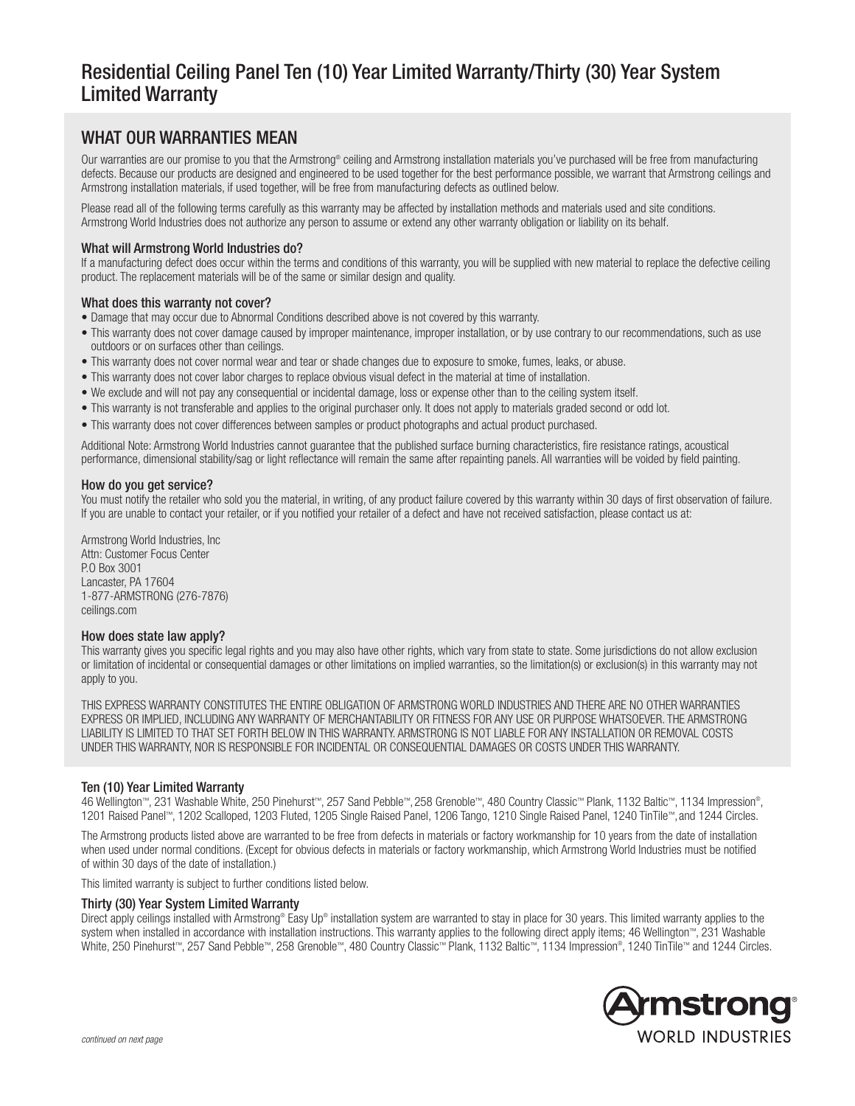# Residential Ceiling Panel Ten (10) Year Limited Warranty/Thirty (30) Year System Limited Warranty

# WHAT OUR WARRANTIES MEAN

Our warranties are our promise to you that the Armstrong® ceiling and Armstrong installation materials you've purchased will be free from manufacturing defects. Because our products are designed and engineered to be used together for the best performance possible, we warrant that Armstrong ceilings and Armstrong installation materials, if used together, will be free from manufacturing defects as outlined below.

Please read all of the following terms carefully as this warranty may be affected by installation methods and materials used and site conditions. Armstrong World Industries does not authorize any person to assume or extend any other warranty obligation or liability on its behalf.

# What will Armstrong World Industries do?

If a manufacturing defect does occur within the terms and conditions of this warranty, you will be supplied with new material to replace the defective ceiling product. The replacement materials will be of the same or similar design and quality.

# What does this warranty not cover?

- Damage that may occur due to Abnormal Conditions described above is not covered by this warranty.
- This warranty does not cover damage caused by improper maintenance, improper installation, or by use contrary to our recommendations, such as use outdoors or on surfaces other than ceilings.
- This warranty does not cover normal wear and tear or shade changes due to exposure to smoke, fumes, leaks, or abuse.
- This warranty does not cover labor charges to replace obvious visual defect in the material at time of installation.
- We exclude and will not pay any consequential or incidental damage, loss or expense other than to the ceiling system itself.
- This warranty is not transferable and applies to the original purchaser only. It does not apply to materials graded second or odd lot.
- This warranty does not cover differences between samples or product photographs and actual product purchased.

Additional Note: Armstrong World Industries cannot guarantee that the published surface burning characteristics, fire resistance ratings, acoustical performance, dimensional stability/sag or light reflectance will remain the same after repainting panels. All warranties will be voided by field painting.

#### How do you get service?

You must notify the retailer who sold you the material, in writing, of any product failure covered by this warranty within 30 days of first observation of failure. If you are unable to contact your retailer, or if you notified your retailer of a defect and have not received satisfaction, please contact us at:

Armstrong World Industries, Inc Attn: Customer Focus Center P.O Box 3001 Lancaster, PA 17604 1-877-ARMSTRONG (276-7876) ceilings.com

#### How does state law apply?

This warranty gives you specific legal rights and you may also have other rights, which vary from state to state. Some jurisdictions do not allow exclusion or limitation of incidental or consequential damages or other limitations on implied warranties, so the limitation(s) or exclusion(s) in this warranty may not apply to you.

THIS EXPRESS WARRANTY CONSTITUTES THE ENTIRE OBLIGATION OF ARMSTRONG WORLD INDUSTRIES AND THERE ARE NO OTHER WARRANTIES EXPRESS OR IMPLIED, INCLUDING ANY WARRANTY OF MERCHANTABILITY OR FITNESS FOR ANY USE OR PURPOSE WHATSOEVER. THE ARMSTRONG LIABILITY IS LIMITED TO THAT SET FORTH BELOW IN THIS WARRANTY. ARMSTRONG IS NOT LIABLE FOR ANY INSTALLATION OR REMOVAL COSTS UNDER THIS WARRANTY, NOR IS RESPONSIBLE FOR INCIDENTAL OR CONSEQUENTIAL DAMAGES OR COSTS UNDER THIS WARRANTY.

# Ten (10) Year Limited Warranty

46 Wellington™, 231 Washable White, 250 Pinehurst™, 257 Sand Pebble™, 258 Grenoble™, 480 Country Classic™ Plank, 1132 Baltic™, 1134 Impression® , 1201 Raised Panel™, 1202 Scalloped, 1203 Fluted, 1205 Single Raised Panel, 1206 Tango, 1210 Single Raised Panel, 1240 TinTile™, and 1244 Circles.

The Armstrong products listed above are warranted to be free from defects in materials or factory workmanship for 10 years from the date of installation when used under normal conditions. (Except for obvious defects in materials or factory workmanship, which Armstrong World Industries must be notified of within 30 days of the date of installation.)

This limited warranty is subject to further conditions listed below.

#### Thirty (30) Year System Limited Warranty

Direct apply ceilings installed with Armstrong® Easy Up® installation system are warranted to stay in place for 30 years. This limited warranty applies to the system when installed in accordance with installation instructions. This warranty applies to the following direct apply items; 46 Wellington™, 231 Washable White, 250 Pinehurst™, 257 Sand Pebble™, 258 Grenoble™, 480 Country Classic™ Plank, 1132 Baltic™, 1134 Impression® , 1240 TinTile™ and 1244 Circles.